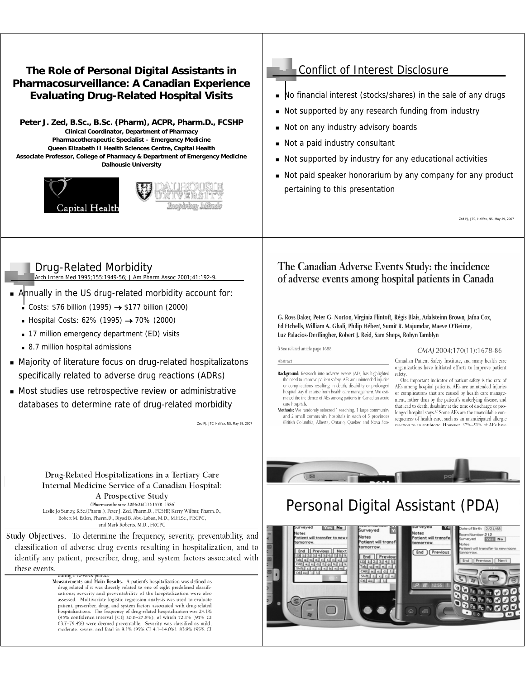#### **The Role of Personal Digital Assistants in Pharmacosurveillance: A Canadian Experience Evaluating Drug-Related Hospital Visits**

**Peter J. Zed, B.Sc., B.Sc. (Pharm), ACPR, Pharm.D., FCSHP Clinical Coordinator, Department of Pharmacy Pharmacotherapeutic Specialist – Emergency Medicine Queen Elizabeth II Health Sciences Centre, Capital Health Associate Professor, College of Pharmacy & Department of Emergency Medicine Dalhousie University**





### Conflict of Interest Disclosure

- No financial interest (stocks/shares) in the sale of any drugs
- Not supported by any research funding from industry
- Not on any industry advisory boards
- Not a paid industry consultant
- Not supported by industry for any educational activities
- Not paid speaker honorarium by any company for any product pertaining to this presentation

Zed PJ, JTC, Halifax, NS, May 29, 2007

## Drug-Related Morbidity

Arch Intern Med 1995;155:1949-56; J Am Pharm Assoc 2001;41:192-9.

- Annually in the US drug-related morbidity account for:
	- Costs: \$76 billion (1995) → \$177 billion (2000)
	- Hospital Costs: 62% (1995)  $\rightarrow$  70% (2000)
	- 17 million emergency department (ED) visits
	- 8.7 million hospital admissions
- Majority of literature focus on drug-related hospitalizatons specifically related to adverse drug reactions (ADRs)
- Most studies use retrospective review or administrative databases to determine rate of drug-related morbidity

Zed PJ, JTC, Halifax, NS, May 29, 2007

#### The Canadian Adverse Events Study: the incidence of adverse events among hospital patients in Canada

G. Ross Baker, Peter G. Norton, Virginia Flintoft, Régis Blais, Adalsteinn Brown, Jafna Cox, Ed Etchells, William A. Ghali, Philip Hébert, Sumit R. Majumdar, Maeve O'Beirne, Luz Palacios-Derflingher, Robert J. Reid, Sam Sheps, Robyn Tamblyn

ß See related article page 1688

care hospitals.

Abstract

#### CMAJ 2004;170(11):1678-86

Canadian Patient Safety Institute, and many health care organizations have initiated efforts to improve patient Background: Research into adverse events (AEs) has highlighted safety.

the need to improve patient safety. AEs are unintended injuries One important indicator of patient safety is the rate of or complications resulting in death, disability or prolonged<br>hospital stay that arise from health care management. We esti-AEs among hospital patients. AEs are unintended injuries or complications that are caused by health care managemated the incidence of AEs among patients in Canadian acute ment, rather than by the patient's underlying disease, and that lead to death, disability at the time of discharge or pro-Methods: We randomly selected 1 teaching, 1 large community longed hospital stays.<sup>12</sup> Some AEs are the unavoidable conand 2 small community hospitals in each of 5 provinces sequences of health care, such as an unanticipated allergic (British Columbia, Alberta, Ontario, Quebec and Nova Scotion to an antihiotic. However, 37%–51% of AFs ha

Drug-Related Hospitalizations in a Tertiary Care Internal Medicine Service of a Canadian Hospital: A Prospective Study

(Pharmacotherany 2006:26(11):1578-1586)

Leslie Jo Samoy, B.Sc.(Pharm.), Peter J. Zed, Pharm.D., FCSHP, Kerry Wilbur, Pharm.D., Robert M. Balen, Pharm.D., Riyad B. Abu-Laban, M.D., M.H.Sc., FRCPC, and Mark Roberts, M.D., FRCPC

Study Objectives. To determine the frequency, severity, preventability, and classification of adverse drug events resulting in hospitalization, and to identify any patient, prescriber, drug, and system factors associated with these events.

> Measurements and Main Results. A patient's hospitalization was defined as drug related if it was directly related to one of eight predefined classifications; severity and preventability of the hospitalization were also assessed. Multivariate logistic regression analysis was used to evaluate patient, prescriber, drug, and system factors associated with drug-related hospitalizations. The frequency of drug-related hospitalization was 24.1% (95% confidence interval [CI] 20.6-27.8%), of which 72.1% (95% CI 63.7-79.4%) were deemed preventable. Severity was classified as mild,



# Personal Digital Assistant (PDA)

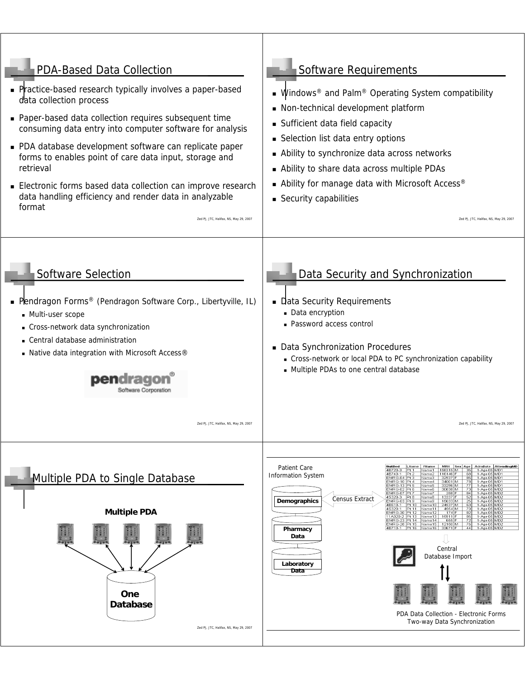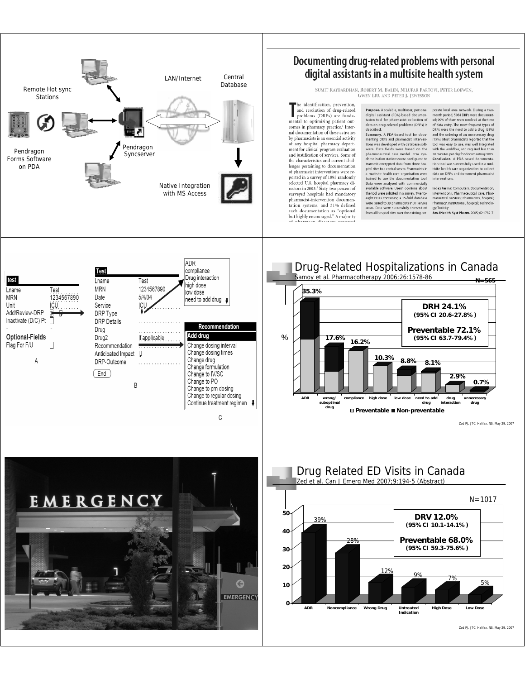